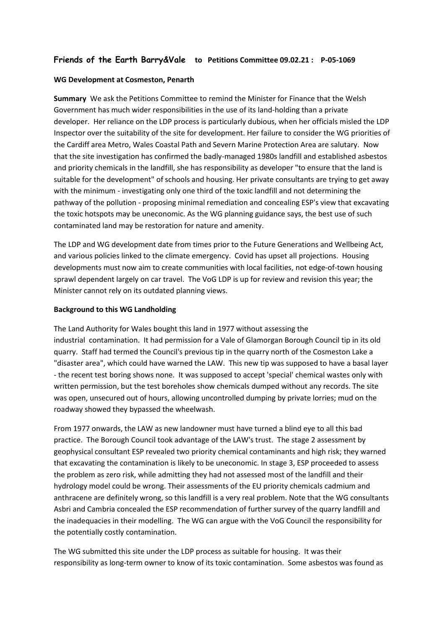# **Friends of the Earth Barry&Vale to Petitions Committee 09.02.21 : P-05-1069**

#### **WG Development at Cosmeston, Penarth**

**Summary** We ask the Petitions Committee to remind the Minister for Finance that the Welsh Government has much wider responsibilities in the use of its land-holding than a private developer. Her reliance on the LDP process is particularly dubious, when her officials misled the LDP Inspector over the suitability of the site for development. Her failure to consider the WG priorities of the Cardiff area Metro, Wales Coastal Path and Severn Marine Protection Area are salutary. Now that the site investigation has confirmed the badly-managed 1980s landfill and established asbestos and priority chemicals in the landfill, she has responsibility as developer "to ensure that the land is suitable for the development" of schools and housing. Her private consultants are trying to get away with the minimum - investigating only one third of the toxic landfill and not determining the pathway of the pollution - proposing minimal remediation and concealing ESP's view that excavating the toxic hotspots may be uneconomic. As the WG planning guidance says, the best use of such contaminated land may be restoration for nature and amenity.

The LDP and WG development date from times prior to the Future Generations and Wellbeing Act, and various policies linked to the climate emergency. Covid has upset all projections. Housing developments must now aim to create communities with local facilities, not edge-of-town housing sprawl dependent largely on car travel. The VoG LDP is up for review and revision this year; the Minister cannot rely on its outdated planning views.

#### **Background to this WG Landholding**

The Land Authority for Wales bought this land in 1977 without assessing the industrial contamination. It had permission for a Vale of Glamorgan Borough Council tip in its old quarry. Staff had termed the Council's previous tip in the quarry north of the Cosmeston Lake a "disaster area", which could have warned the LAW. This new tip was supposed to have a basal layer - the recent test boring shows none. It was supposed to accept 'special' chemical wastes only with written permission, but the test boreholes show chemicals dumped without any records. The site was open, unsecured out of hours, allowing uncontrolled dumping by private lorries; mud on the roadway showed they bypassed the wheelwash.

From 1977 onwards, the LAW as new landowner must have turned a blind eye to all this bad practice. The Borough Council took advantage of the LAW's trust. The stage 2 assessment by geophysical consultant ESP revealed two priority chemical contaminants and high risk; they warned that excavating the contamination is likely to be uneconomic. In stage 3, ESP proceeded to assess the problem as zero risk, while admitting they had not assessed most of the landfill and their hydrology model could be wrong. Their assessments of the EU priority chemicals cadmium and anthracene are definitely wrong, so this landfill is a very real problem. Note that the WG consultants Asbri and Cambria concealed the ESP recommendation of further survey of the quarry landfill and the inadequacies in their modelling. The WG can argue with the VoG Council the responsibility for the potentially costly contamination.

The WG submitted this site under the LDP process as suitable for housing. It was their responsibility as long-term owner to know of its toxic contamination. Some asbestos was found as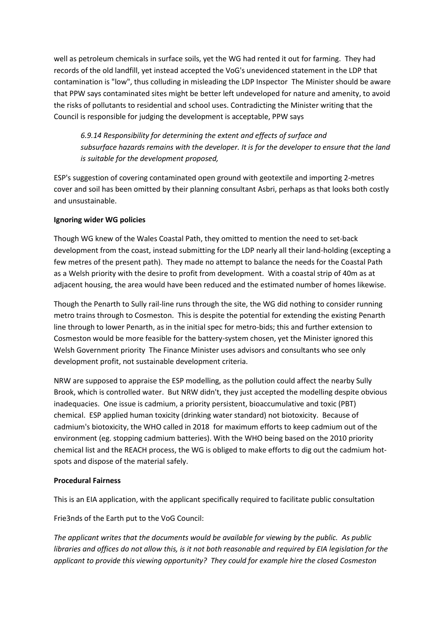well as petroleum chemicals in surface soils, yet the WG had rented it out for farming. They had records of the old landfill, yet instead accepted the VoG's unevidenced statement in the LDP that contamination is "low", thus colluding in misleading the LDP Inspector The Minister should be aware that PPW says contaminated sites might be better left undeveloped for nature and amenity, to avoid the risks of pollutants to residential and school uses. Contradicting the Minister writing that the Council is responsible for judging the development is acceptable, PPW says

*6.9.14 Responsibility for determining the extent and effects of surface and subsurface hazards remains with the developer. It is for the developer to ensure that the land is suitable for the development proposed,*

ESP's suggestion of covering contaminated open ground with geotextile and importing 2-metres cover and soil has been omitted by their planning consultant Asbri, perhaps as that looks both costly and unsustainable.

# **Ignoring wider WG policies**

Though WG knew of the Wales Coastal Path, they omitted to mention the need to set-back development from the coast, instead submitting for the LDP nearly all their land-holding (excepting a few metres of the present path). They made no attempt to balance the needs for the Coastal Path as a Welsh priority with the desire to profit from development. With a coastal strip of 40m as at adjacent housing, the area would have been reduced and the estimated number of homes likewise.

Though the Penarth to Sully rail-line runs through the site, the WG did nothing to consider running metro trains through to Cosmeston. This is despite the potential for extending the existing Penarth line through to lower Penarth, as in the initial spec for metro-bids; this and further extension to Cosmeston would be more feasible for the battery-system chosen, yet the Minister ignored this Welsh Government priority The Finance Minister uses advisors and consultants who see only development profit, not sustainable development criteria.

NRW are supposed to appraise the ESP modelling, as the pollution could affect the nearby Sully Brook, which is controlled water. But NRW didn't, they just accepted the modelling despite obvious inadequacies. One issue is cadmium, a priority persistent, bioaccumulative and toxic (PBT) chemical. ESP applied human toxicity (drinking water standard) not biotoxicity. Because of cadmium's biotoxicity, the WHO called in 2018 for maximum efforts to keep cadmium out of the environment (eg. stopping cadmium batteries). With the WHO being based on the 2010 priority chemical list and the REACH process, the WG is obliged to make efforts to dig out the cadmium hotspots and dispose of the material safely.

#### **Procedural Fairness**

This is an EIA application, with the applicant specifically required to facilitate public consultation

Frie3nds of the Earth put to the VoG Council:

*The applicant writes that the documents would be available for viewing by the public. As public libraries and offices do not allow this, is it not both reasonable and required by EIA legislation for the applicant to provide this viewing opportunity? They could for example hire the closed Cosmeston*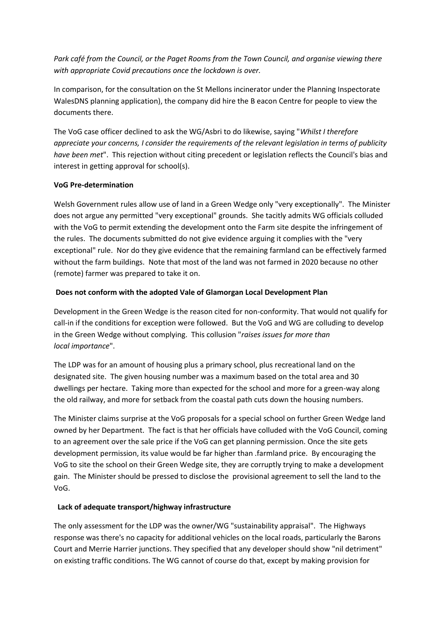*Park café from the Council, or the Paget Rooms from the Town Council, and organise viewing there with appropriate Covid precautions once the lockdown is over.*

In comparison, for the consultation on the St Mellons incinerator under the Planning Inspectorate WalesDNS planning application), the company did hire the B eacon Centre for people to view the documents there.

The VoG case officer declined to ask the WG/Asbri to do likewise, saying "*Whilst I therefore appreciate your concerns, I consider the requirements of the relevant legislation in terms of publicity have been met*". This rejection without citing precedent or legislation reflects the Council's bias and interest in getting approval for school(s).

## **VoG Pre-determination**

Welsh Government rules allow use of land in a Green Wedge only "very exceptionally". The Minister does not argue any permitted "very exceptional" grounds. She tacitly admits WG officials colluded with the VoG to permit extending the development onto the Farm site despite the infringement of the rules. The documents submitted do not give evidence arguing it complies with the "very exceptional" rule. Nor do they give evidence that the remaining farmland can be effectively farmed without the farm buildings. Note that most of the land was not farmed in 2020 because no other (remote) farmer was prepared to take it on.

## **Does not conform with the adopted Vale of Glamorgan Local Development Plan**

Development in the Green Wedge is the reason cited for non-conformity. That would not qualify for call-in if the conditions for exception were followed. But the VoG and WG are colluding to develop in the Green Wedge without complying. This collusion "*raises issues for more than local importance*".

The LDP was for an amount of housing plus a primary school, plus recreational land on the designated site. The given housing number was a maximum based on the total area and 30 dwellings per hectare. Taking more than expected for the school and more for a green-way along the old railway, and more for setback from the coastal path cuts down the housing numbers.

The Minister claims surprise at the VoG proposals for a special school on further Green Wedge land owned by her Department. The fact is that her officials have colluded with the VoG Council, coming to an agreement over the sale price if the VoG can get planning permission. Once the site gets development permission, its value would be far higher than .farmland price. By encouraging the VoG to site the school on their Green Wedge site, they are corruptly trying to make a development gain. The Minister should be pressed to disclose the provisional agreement to sell the land to the VoG.

# **Lack of adequate transport/highway infrastructure**

The only assessment for the LDP was the owner/WG "sustainability appraisal". The Highways response was there's no capacity for additional vehicles on the local roads, particularly the Barons Court and Merrie Harrier junctions. They specified that any developer should show "nil detriment" on existing traffic conditions. The WG cannot of course do that, except by making provision for